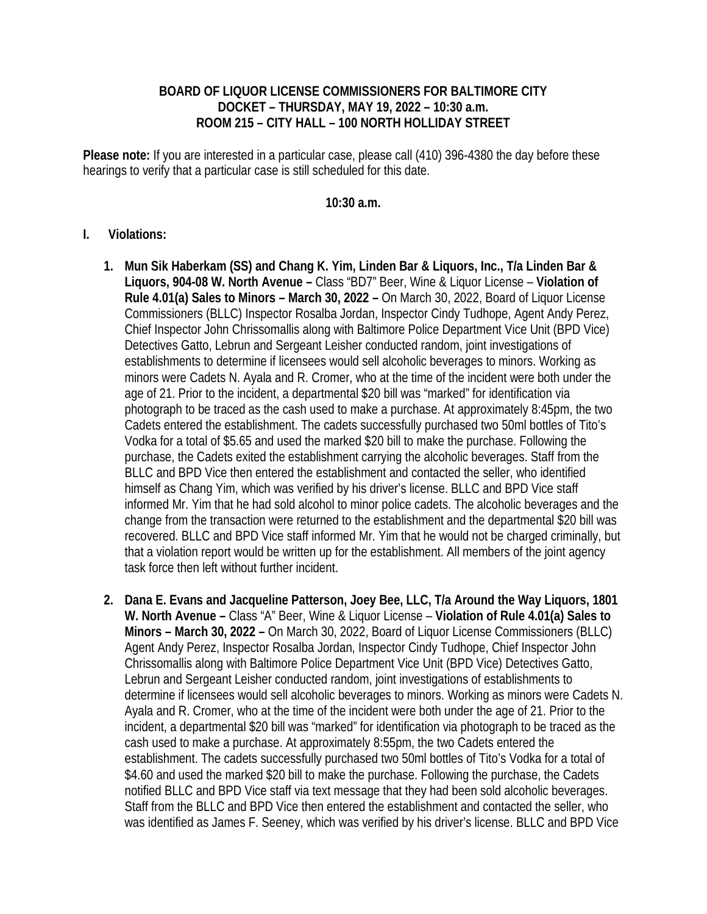## **BOARD OF LIQUOR LICENSE COMMISSIONERS FOR BALTIMORE CITY DOCKET – THURSDAY, MAY 19, 2022 – 10:30 a.m. ROOM 215 – CITY HALL – 100 NORTH HOLLIDAY STREET**

**Please note:** If you are interested in a particular case, please call (410) 396-4380 the day before these hearings to verify that a particular case is still scheduled for this date.

## **10:30 a.m.**

## **I. Violations:**

- **1. Mun Sik Haberkam (SS) and Chang K. Yim, Linden Bar & Liquors, Inc., T/a Linden Bar & Liquors, 904-08 W. North Avenue –** Class "BD7" Beer, Wine & Liquor License – **Violation of Rule 4.01(a) Sales to Minors – March 30, 2022 –** On March 30, 2022, Board of Liquor License Commissioners (BLLC) Inspector Rosalba Jordan, Inspector Cindy Tudhope, Agent Andy Perez, Chief Inspector John Chrissomallis along with Baltimore Police Department Vice Unit (BPD Vice) Detectives Gatto, Lebrun and Sergeant Leisher conducted random, joint investigations of establishments to determine if licensees would sell alcoholic beverages to minors. Working as minors were Cadets N. Ayala and R. Cromer, who at the time of the incident were both under the age of 21. Prior to the incident, a departmental \$20 bill was "marked" for identification via photograph to be traced as the cash used to make a purchase. At approximately 8:45pm, the two Cadets entered the establishment. The cadets successfully purchased two 50ml bottles of Tito's Vodka for a total of \$5.65 and used the marked \$20 bill to make the purchase. Following the purchase, the Cadets exited the establishment carrying the alcoholic beverages. Staff from the BLLC and BPD Vice then entered the establishment and contacted the seller, who identified himself as Chang Yim, which was verified by his driver's license. BLLC and BPD Vice staff informed Mr. Yim that he had sold alcohol to minor police cadets. The alcoholic beverages and the change from the transaction were returned to the establishment and the departmental \$20 bill was recovered. BLLC and BPD Vice staff informed Mr. Yim that he would not be charged criminally, but that a violation report would be written up for the establishment. All members of the joint agency task force then left without further incident.
- **2. Dana E. Evans and Jacqueline Patterson, Joey Bee, LLC, T/a Around the Way Liquors, 1801 W. North Avenue –** Class "A" Beer, Wine & Liquor License – **Violation of Rule 4.01(a) Sales to Minors – March 30, 2022 –** On March 30, 2022, Board of Liquor License Commissioners (BLLC) Agent Andy Perez, Inspector Rosalba Jordan, Inspector Cindy Tudhope, Chief Inspector John Chrissomallis along with Baltimore Police Department Vice Unit (BPD Vice) Detectives Gatto, Lebrun and Sergeant Leisher conducted random, joint investigations of establishments to determine if licensees would sell alcoholic beverages to minors. Working as minors were Cadets N. Ayala and R. Cromer, who at the time of the incident were both under the age of 21. Prior to the incident, a departmental \$20 bill was "marked" for identification via photograph to be traced as the cash used to make a purchase. At approximately 8:55pm, the two Cadets entered the establishment. The cadets successfully purchased two 50ml bottles of Tito's Vodka for a total of \$4.60 and used the marked \$20 bill to make the purchase. Following the purchase, the Cadets notified BLLC and BPD Vice staff via text message that they had been sold alcoholic beverages. Staff from the BLLC and BPD Vice then entered the establishment and contacted the seller, who was identified as James F. Seeney, which was verified by his driver's license. BLLC and BPD Vice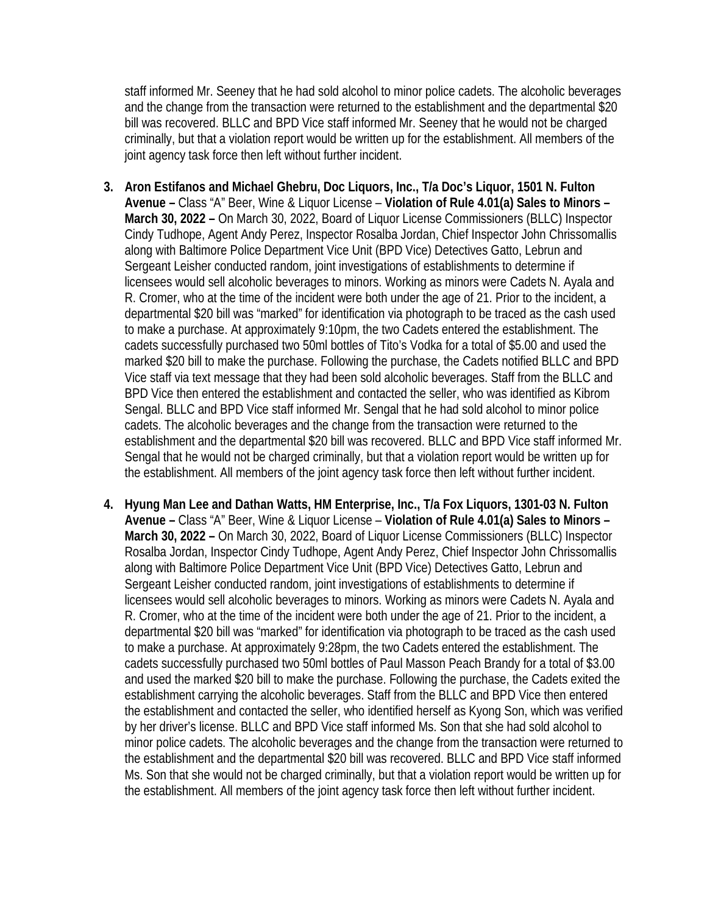staff informed Mr. Seeney that he had sold alcohol to minor police cadets. The alcoholic beverages and the change from the transaction were returned to the establishment and the departmental \$20 bill was recovered. BLLC and BPD Vice staff informed Mr. Seeney that he would not be charged criminally, but that a violation report would be written up for the establishment. All members of the joint agency task force then left without further incident.

- **3. Aron Estifanos and Michael Ghebru, Doc Liquors, Inc., T/a Doc's Liquor, 1501 N. Fulton Avenue –** Class "A" Beer, Wine & Liquor License – **Violation of Rule 4.01(a) Sales to Minors – March 30, 2022 –** On March 30, 2022, Board of Liquor License Commissioners (BLLC) Inspector Cindy Tudhope, Agent Andy Perez, Inspector Rosalba Jordan, Chief Inspector John Chrissomallis along with Baltimore Police Department Vice Unit (BPD Vice) Detectives Gatto, Lebrun and Sergeant Leisher conducted random, joint investigations of establishments to determine if licensees would sell alcoholic beverages to minors. Working as minors were Cadets N. Ayala and R. Cromer, who at the time of the incident were both under the age of 21. Prior to the incident, a departmental \$20 bill was "marked" for identification via photograph to be traced as the cash used to make a purchase. At approximately 9:10pm, the two Cadets entered the establishment. The cadets successfully purchased two 50ml bottles of Tito's Vodka for a total of \$5.00 and used the marked \$20 bill to make the purchase. Following the purchase, the Cadets notified BLLC and BPD Vice staff via text message that they had been sold alcoholic beverages. Staff from the BLLC and BPD Vice then entered the establishment and contacted the seller, who was identified as Kibrom Sengal. BLLC and BPD Vice staff informed Mr. Sengal that he had sold alcohol to minor police cadets. The alcoholic beverages and the change from the transaction were returned to the establishment and the departmental \$20 bill was recovered. BLLC and BPD Vice staff informed Mr. Sengal that he would not be charged criminally, but that a violation report would be written up for the establishment. All members of the joint agency task force then left without further incident.
- **4. Hyung Man Lee and Dathan Watts, HM Enterprise, Inc., T/a Fox Liquors, 1301-03 N. Fulton Avenue –** Class "A" Beer, Wine & Liquor License – **Violation of Rule 4.01(a) Sales to Minors – March 30, 2022 –** On March 30, 2022, Board of Liquor License Commissioners (BLLC) Inspector Rosalba Jordan, Inspector Cindy Tudhope, Agent Andy Perez, Chief Inspector John Chrissomallis along with Baltimore Police Department Vice Unit (BPD Vice) Detectives Gatto, Lebrun and Sergeant Leisher conducted random, joint investigations of establishments to determine if licensees would sell alcoholic beverages to minors. Working as minors were Cadets N. Ayala and R. Cromer, who at the time of the incident were both under the age of 21. Prior to the incident, a departmental \$20 bill was "marked" for identification via photograph to be traced as the cash used to make a purchase. At approximately 9:28pm, the two Cadets entered the establishment. The cadets successfully purchased two 50ml bottles of Paul Masson Peach Brandy for a total of \$3.00 and used the marked \$20 bill to make the purchase. Following the purchase, the Cadets exited the establishment carrying the alcoholic beverages. Staff from the BLLC and BPD Vice then entered the establishment and contacted the seller, who identified herself as Kyong Son, which was verified by her driver's license. BLLC and BPD Vice staff informed Ms. Son that she had sold alcohol to minor police cadets. The alcoholic beverages and the change from the transaction were returned to the establishment and the departmental \$20 bill was recovered. BLLC and BPD Vice staff informed Ms. Son that she would not be charged criminally, but that a violation report would be written up for the establishment. All members of the joint agency task force then left without further incident.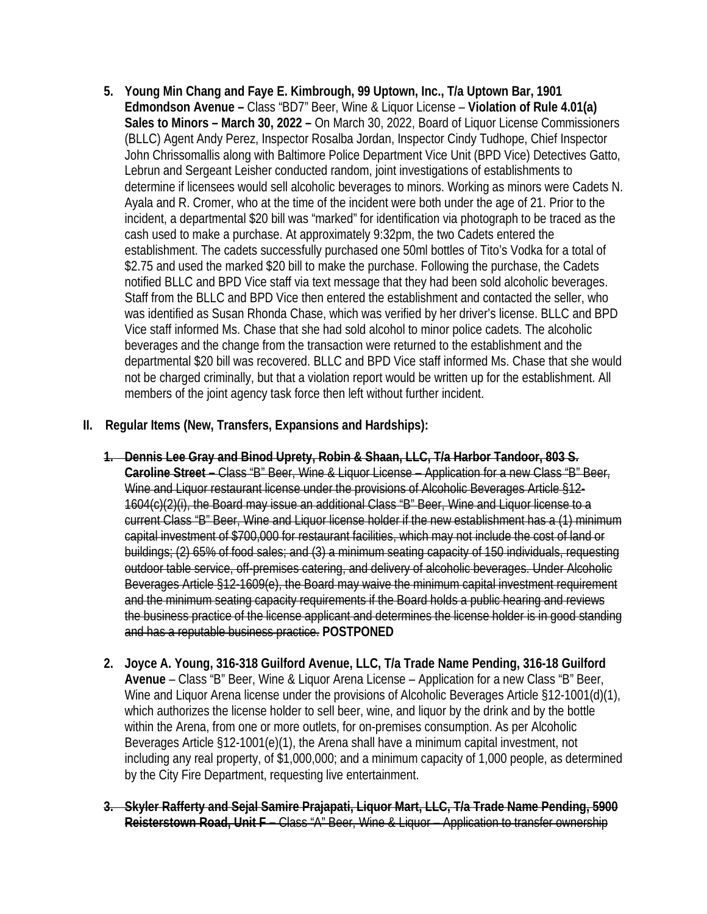- **5. Young Min Chang and Faye E. Kimbrough, 99 Uptown, Inc., T/a Uptown Bar, 1901 Edmondson Avenue –** Class "BD7" Beer, Wine & Liquor License – **Violation of Rule 4.01(a) Sales to Minors – March 30, 2022 –** On March 30, 2022, Board of Liquor License Commissioners (BLLC) Agent Andy Perez, Inspector Rosalba Jordan, Inspector Cindy Tudhope, Chief Inspector John Chrissomallis along with Baltimore Police Department Vice Unit (BPD Vice) Detectives Gatto, Lebrun and Sergeant Leisher conducted random, joint investigations of establishments to determine if licensees would sell alcoholic beverages to minors. Working as minors were Cadets N. Ayala and R. Cromer, who at the time of the incident were both under the age of 21. Prior to the incident, a departmental \$20 bill was "marked" for identification via photograph to be traced as the cash used to make a purchase. At approximately 9:32pm, the two Cadets entered the establishment. The cadets successfully purchased one 50ml bottles of Tito's Vodka for a total of \$2.75 and used the marked \$20 bill to make the purchase. Following the purchase, the Cadets notified BLLC and BPD Vice staff via text message that they had been sold alcoholic beverages. Staff from the BLLC and BPD Vice then entered the establishment and contacted the seller, who was identified as Susan Rhonda Chase, which was verified by her driver's license. BLLC and BPD Vice staff informed Ms. Chase that she had sold alcohol to minor police cadets. The alcoholic beverages and the change from the transaction were returned to the establishment and the departmental \$20 bill was recovered. BLLC and BPD Vice staff informed Ms. Chase that she would not be charged criminally, but that a violation report would be written up for the establishment. All members of the joint agency task force then left without further incident.
- **II. Regular Items (New, Transfers, Expansions and Hardships):**
	- **1. Dennis Lee Gray and Binod Uprety, Robin & Shaan, LLC, T/a Harbor Tandoor, 803 S. Caroline Street –** Class "B" Beer, Wine & Liquor License – Application for a new Class "B" Beer, Wine and Liquor restaurant license under the provisions of Alcoholic Beverages Article §12-1604(c)(2)(i), the Board may issue an additional Class "B" Beer, Wine and Liquor license to a current Class "B" Beer, Wine and Liquor license holder if the new establishment has a (1) minimum capital investment of \$700,000 for restaurant facilities, which may not include the cost of land or buildings; (2) 65% of food sales; and (3) a minimum seating capacity of 150 individuals, requesting outdoor table service, off-premises catering, and delivery of alcoholic beverages. Under Alcoholic Beverages Article §12-1609(e), the Board may waive the minimum capital investment requirement and the minimum seating capacity requirements if the Board holds a public hearing and reviews the business practice of the license applicant and determines the license holder is in good standing and has a reputable business practice. **POSTPONED**
	- **2. Joyce A. Young, 316-318 Guilford Avenue, LLC, T/a Trade Name Pending, 316-18 Guilford Avenue** – Class "B" Beer, Wine & Liquor Arena License – Application for a new Class "B" Beer, Wine and Liquor Arena license under the provisions of Alcoholic Beverages Article §12-1001(d)(1), which authorizes the license holder to sell beer, wine, and liquor by the drink and by the bottle within the Arena, from one or more outlets, for on-premises consumption. As per Alcoholic Beverages Article §12-1001(e)(1), the Arena shall have a minimum capital investment, not including any real property, of \$1,000,000; and a minimum capacity of 1,000 people, as determined by the City Fire Department, requesting live entertainment.
	- **3. Skyler Rafferty and Sejal Samire Prajapati, Liquor Mart, LLC, T/a Trade Name Pending, 5900 Reisterstown Road, Unit F –** Class "A" Beer, Wine & Liquor – Application to transfer ownership